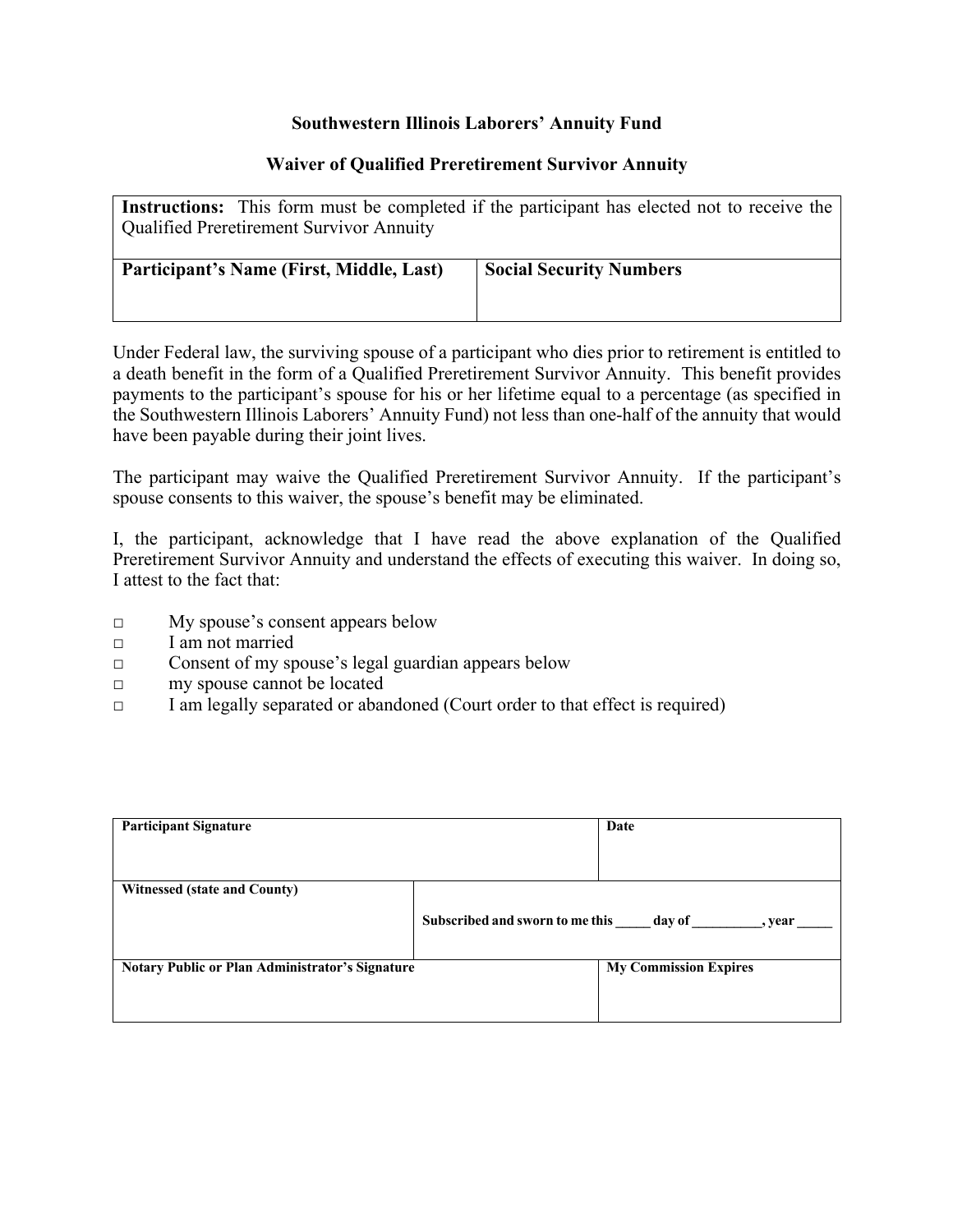## **Southwestern Illinois Laborers' Annuity Fund**

## **Waiver of Qualified Preretirement Survivor Annuity**

| <b>Instructions:</b> This form must be completed if the participant has elected not to receive the<br><b>Qualified Preretirement Survivor Annuity</b> |                                |  |  |  |
|-------------------------------------------------------------------------------------------------------------------------------------------------------|--------------------------------|--|--|--|
| Participant's Name (First, Middle, Last)                                                                                                              | <b>Social Security Numbers</b> |  |  |  |

Under Federal law, the surviving spouse of a participant who dies prior to retirement is entitled to a death benefit in the form of a Qualified Preretirement Survivor Annuity. This benefit provides payments to the participant's spouse for his or her lifetime equal to a percentage (as specified in the Southwestern Illinois Laborers' Annuity Fund) not less than one-half of the annuity that would have been payable during their joint lives.

The participant may waive the Qualified Preretirement Survivor Annuity. If the participant's spouse consents to this waiver, the spouse's benefit may be eliminated.

I, the participant, acknowledge that I have read the above explanation of the Qualified Preretirement Survivor Annuity and understand the effects of executing this waiver. In doing so, I attest to the fact that:

- □ My spouse's consent appears below
- □ I am not married
- □ Consent of my spouse's legal guardian appears below
- □ my spouse cannot be located
- $\Box$  I am legally separated or abandoned (Court order to that effect is required)

| <b>Participant Signature</b>                    |                                                          | Date                         |  |
|-------------------------------------------------|----------------------------------------------------------|------------------------------|--|
| <b>Witnessed (state and County)</b>             | Subscribed and sworn to me this _____ day of _<br>, vear |                              |  |
| Notary Public or Plan Administrator's Signature |                                                          | <b>My Commission Expires</b> |  |